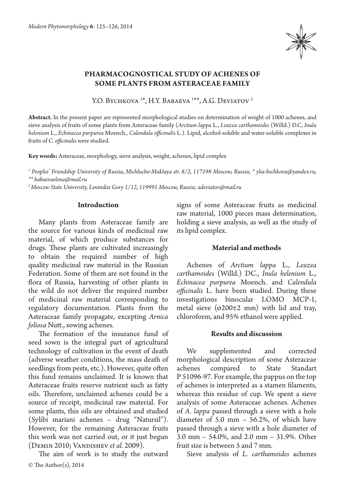

# **PHARMACOGNOSTICAL STUDY OF ACHENES OF SOME PLANTS FROM ASTERACEAE FAMILY**

Y.O. Bychkova <sup>1\*</sup>, H.Y. Babaeva <sup>1\*\*</sup>, A.G. Deviatov <sup>2</sup>

**Abstract.** In the present paper are represented morphological studies on determination of weight of 1000 achenes, and sieve analysis of fruits of some plants from Asteraceae family (*Arctium lappa* L., *Leuzea carthamoides* (Willd.) D.C, *Inula helenium* L., *Echinacea purpurea* Moench., *Calendula officinalis* L.). Lipid, alcohol-soluble and water-soluble complexes in fruits of *C. officinalis* were studied.

**Key words:** Asteraceae, morphology, sieve analysis, weight, achenes, lipid complex

*1 Peoples' Friendship University of Russia, Michlucho-Maklaya str. 8/2, 117198 Moscow, Russia; \* ylia-bechkova@yandex.ru, \*\* babaevaelena@mail.ru*

its lipid complex.

*2 Moscow State University, Leninskie Gory 1/12, 119991 Moscow, Russia; adeviatov@mail.ru*

#### **Introduction**

Many plants from Asteraceae family are the source for various kinds of medicinal raw material, of which produce substances for drugs. These plants are cultivated increasingly to obtain the required number of high quality medicinal raw material in the Russian Federation. Some of them are not found in the flora of Russia, harvesting of other plants in the wild do not deliver the required number of medicinal raw material corresponding to regulatory documentation. Plants from the Asteraceae family propagate, excepting *Arnica foliosa* Nutt., sowing achenes.

The formation of the insurance fund of seed sown is the integral part of agricultural technology of cultivation in the event of death (adverse weather conditions, the mass death of seedlings from pests, etc.). However, quite often this fund remains unclaimed. It is known that Asteraceae fruits reserve nutrient such as fatty oils. Therefore, unclaimed achenes could be a source of receipt, medicinal raw material. For some plants, this oils are obtained and studied (Sylibi mariani achenes – drug "Natursil"). However, for the remaining Asteraceae fruits this work was not carried out, or it just begun (Demin 2010; Vandishev *et al.* 2009).

The aim of work is to study the outward

## metal sieve  $(0200\pm2 \text{ mm})$  with lid and tray, chloroform, and 95% ethanol were applied.

signs of some Asteraceae fruits as medicinal raw material, 1000 pieces mass determination, holding a sieve analysis, as well as the study of

**Material and methods**

Achenes of *Arctium lappa* L., *Leuzea carthamoides* (Willd.) DC., *Inula helenium* L., *Echinacea purpurea* Moench. and *Calendula officinalis* L. have been studied. During these investigations binocular LOMO МСP-1,

#### **Results and discussion**

We supplemented and corrected morphological description of some Asteraceae achenes compared to State Standart Р 51096-97. For example, the pappus on the top of achenes is interpreted as a stamen filaments, whereas this residue of cup. We spent a sieve analysis of some Asteraceae achenes. Achenes of *A. lappa* passed through a sieve with a hole diameter of 5.0 mm – 56.2%, of which have passed through a sieve with a hole diameter of 3.0 mm – 54.0%, and 2.0 mm – 31.9%. Other fruit size is between 5 and 7 mm.

Sieve analysis of *L. carthamoides* achenes